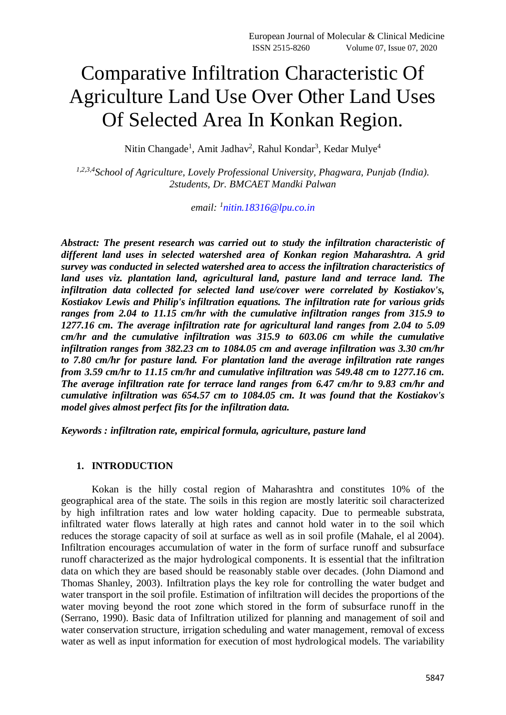# Comparative Infiltration Characteristic Of Agriculture Land Use Over Other Land Uses Of Selected Area In Konkan Region.

Nitin Changade<sup>1</sup>, Amit Jadhav<sup>2</sup>, Rahul Kondar<sup>3</sup>, Kedar Mulye<sup>4</sup>

*1,2,3,4School of Agriculture, Lovely Professional University, Phagwara, Punjab (India). 2students, Dr. BMCAET Mandki Palwan*

*email: <sup>1</sup> [nitin.18316@lpu.co.in](mailto:nitin.18316@lpu.co.in)*

*Abstract: The present research was carried out to study the infiltration characteristic of different land uses in selected watershed area of Konkan region Maharashtra. A grid survey was conducted in selected watershed area to access the infiltration characteristics of land uses viz. plantation land, agricultural land, pasture land and terrace land. The infiltration data collected for selected land use/cover were correlated by Kostiakov's, Kostiakov Lewis and Philip's infiltration equations. The infiltration rate for various grids ranges from 2.04 to 11.15 cm/hr with the cumulative infiltration ranges from 315.9 to 1277.16 cm. The average infiltration rate for agricultural land ranges from 2.04 to 5.09 cm/hr and the cumulative infiltration was 315.9 to 603.06 cm while the cumulative infiltration ranges from 382.23 cm to 1084.05 cm and average infiltration was 3.30 cm/hr to 7.80 cm/hr for pasture land. For plantation land the average infiltration rate ranges from 3.59 cm/hr to 11.15 cm/hr and cumulative infiltration was 549.48 cm to 1277.16 cm. The average infiltration rate for terrace land ranges from 6.47 cm/hr to 9.83 cm/hr and cumulative infiltration was 654.57 cm to 1084.05 cm. It was found that the Kostiakov's model gives almost perfect fits for the infiltration data.*

*Keywords : infiltration rate, empirical formula, agriculture, pasture land*

# **1. INTRODUCTION**

Kokan is the hilly costal region of Maharashtra and constitutes 10% of the geographical area of the state. The soils in this region are mostly lateritic soil characterized by high infiltration rates and low water holding capacity. Due to permeable substrata, infiltrated water flows laterally at high rates and cannot hold water in to the soil which reduces the storage capacity of soil at surface as well as in soil profile (Mahale, el al 2004). Infiltration encourages accumulation of water in the form of surface runoff and subsurface runoff characterized as the major hydrological components. It is essential that the infiltration data on which they are based should be reasonably stable over decades. (John Diamond and Thomas Shanley, 2003). Infiltration plays the key role for controlling the water budget and water transport in the soil profile. Estimation of infiltration will decides the proportions of the water moving beyond the root zone which stored in the form of subsurface runoff in the (Serrano, 1990). Basic data of Infiltration utilized for planning and management of soil and water conservation structure, irrigation scheduling and water management, removal of excess water as well as input information for execution of most hydrological models. The variability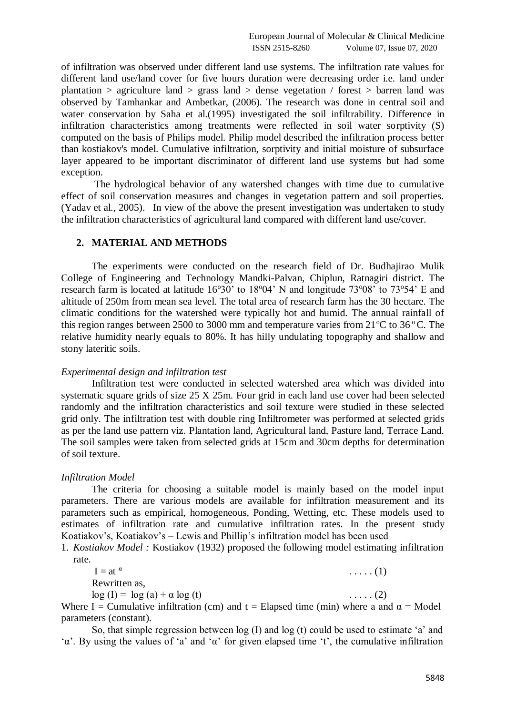of infiltration was observed under different land use systems. The infiltration rate values for different land use/land cover for five hours duration were decreasing order i.e. land under plantation  $>$  agriculture land  $>$  grass land  $>$  dense vegetation / forest  $>$  barren land was observed by Tamhankar and Ambetkar, (2006). The research was done in central soil and water conservation by Saha et al.(1995) investigated the soil infiltrability. Difference in infiltration characteristics among treatments were reflected in soil water sorptivity (S) computed on the basis of Philips model. Philip model described the infiltration process better than kostiakov's model. Cumulative infiltration, sorptivity and initial moisture of subsurface layer appeared to be important discriminator of different land use systems but had some exception.

The hydrological behavior of any watershed changes with time due to cumulative effect of soil conservation measures and changes in vegetation pattern and soil properties. (Yadav et al., 2005). In view of the above the present investigation was undertaken to study the infiltration characteristics of agricultural land compared with different land use/cover.

#### **2. MATERIAL AND METHODS**

The experiments were conducted on the research field of Dr. Budhajirao Mulik College of Engineering and Technology Mandki-Palvan, Chiplun, Ratnagiri district. The research farm is located at latitude  $16^{\circ}30'$  to  $18^{\circ}04'$  N and longitude  $73^{\circ}08'$  to  $73^{\circ}54'$  E and altitude of 250m from mean sea level. The total area of research farm has the 30 hectare. The climatic conditions for the watershed were typically hot and humid. The annual rainfall of this region ranges between 2500 to 3000 mm and temperature varies from  $21^{\circ}$ C to 36 $^{\circ}$ C. The relative humidity nearly equals to 80%. It has hilly undulating topography and shallow and stony lateritic soils.

# *Experimental design and infiltration test*

Infiltration test were conducted in selected watershed area which was divided into systematic square grids of size 25 X 25m. Four grid in each land use cover had been selected randomly and the infiltration characteristics and soil texture were studied in these selected grid only. The infiltration test with double ring Infiltrometer was performed at selected grids as per the land use pattern viz. Plantation land, Agricultural land, Pasture land, Terrace Land. The soil samples were taken from selected grids at 15cm and 30cm depths for determination of soil texture.

# *Infiltration Model*

The criteria for choosing a suitable model is mainly based on the model input parameters. There are various models are available for infiltration measurement and its parameters such as empirical, homogeneous, Ponding, Wetting, etc. These models used to estimates of infiltration rate and cumulative infiltration rates. In the present study Koatiakov's, Koatiakov's – Lewis and Phillip's infiltration model has been used

1. *Kostiakov Model :* Kostiakov (1932) proposed the following model estimating infiltration rate.

 $I = at^{\alpha}$  $\ldots$  . (1) Rewritten as,  $log (I) = log (a) + \alpha log (t)$  .....(2)

Where I = Cumulative infiltration (cm) and t = Elapsed time (min) where a and  $\alpha$  = Model parameters (constant).

So, that simple regression between log (I) and log (t) could be used to estimate 'a' and 'α'. By using the values of 'a' and 'α' for given elapsed time 't', the cumulative infiltration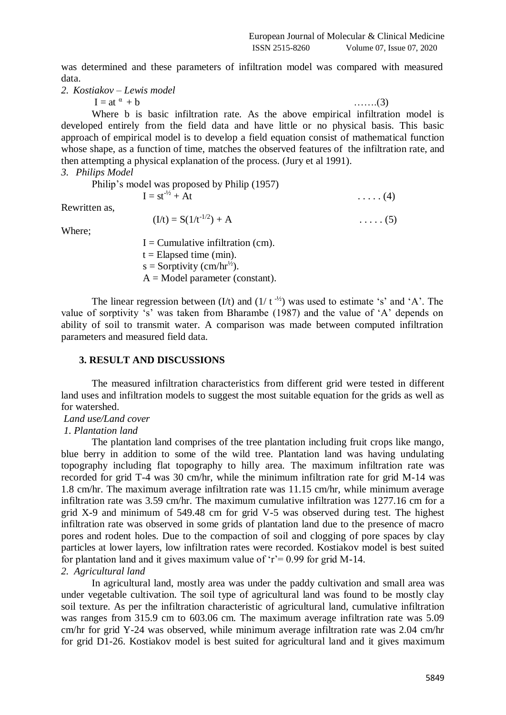was determined and these parameters of infiltration model was compared with measured data.

*2. Kostiakov – Lewis model*

 $I = at^{\alpha} + b$  …….(3)

Where b is basic infiltration rate. As the above empirical infiltration model is developed entirely from the field data and have little or no physical basis. This basic approach of empirical model is to develop a field equation consist of mathematical function whose shape, as a function of time, matches the observed features of the infiltration rate, and then attempting a physical explanation of the process. (Jury et al 1991).

*3. Philips Model* 

|               | Philip's model was proposed by Philip (1957) |                |
|---------------|----------------------------------------------|----------------|
|               | $I = st^{-1/2} + At$                         | $\ldots$ . (4) |
| Rewritten as, |                                              |                |
|               | $(I/t) = S(1/t^{-1/2}) + A$                  | $\ldots$ . (5) |
| Where;        |                                              |                |
|               | $I =$ Cumulative infiltration (cm).          |                |

 $t =$ Elapsed time (min).  $s =$  Sorptivity (cm/hr<sup>1/2</sup>).  $A = Model parameter (constant).$ 

The linear regression between  $(I/t)$  and  $(1/t^{-1/2})$  was used to estimate 's' and 'A'. The value of sorptivity 's' was taken from Bharambe (1987) and the value of 'A' depends on ability of soil to transmit water. A comparison was made between computed infiltration parameters and measured field data.

### **3. RESULT AND DISCUSSIONS**

The measured infiltration characteristics from different grid were tested in different land uses and infiltration models to suggest the most suitable equation for the grids as well as for watershed.

*Land use/Land cover*

# *1. Plantation land*

The plantation land comprises of the tree plantation including fruit crops like mango, blue berry in addition to some of the wild tree. Plantation land was having undulating topography including flat topography to hilly area. The maximum infiltration rate was recorded for grid T-4 was 30 cm/hr, while the minimum infiltration rate for grid M-14 was 1.8 cm/hr. The maximum average infiltration rate was 11.15 cm/hr, while minimum average infiltration rate was 3.59 cm/hr. The maximum cumulative infiltration was 1277.16 cm for a grid X-9 and minimum of 549.48 cm for grid V-5 was observed during test. The highest infiltration rate was observed in some grids of plantation land due to the presence of macro pores and rodent holes. Due to the compaction of soil and clogging of pore spaces by clay particles at lower layers, low infiltration rates were recorded. Kostiakov model is best suited for plantation land and it gives maximum value of ' $r = 0.99$  for grid M-14. *2. Agricultural land*

In agricultural land, mostly area was under the paddy cultivation and small area was under vegetable cultivation. The soil type of agricultural land was found to be mostly clay soil texture. As per the infiltration characteristic of agricultural land, cumulative infiltration was ranges from 315.9 cm to 603.06 cm. The maximum average infiltration rate was 5.09 cm/hr for grid Y-24 was observed, while minimum average infiltration rate was 2.04 cm/hr for grid D1-26. Kostiakov model is best suited for agricultural land and it gives maximum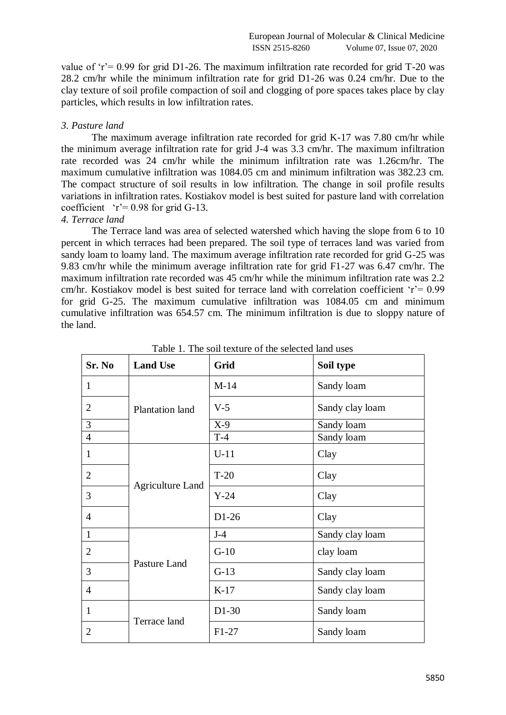value of 'r' =  $0.99$  for grid D1-26. The maximum infiltration rate recorded for grid T-20 was 28.2 cm/hr while the minimum infiltration rate for grid D1-26 was 0.24 cm/hr. Due to the clay texture of soil profile compaction of soil and clogging of pore spaces takes place by clay particles, which results in low infiltration rates.

# *3. Pasture land*

The maximum average infiltration rate recorded for grid K-17 was 7.80 cm/hr while the minimum average infiltration rate for grid J-4 was 3.3 cm/hr. The maximum infiltration rate recorded was 24 cm/hr while the minimum infiltration rate was 1.26cm/hr. The maximum cumulative infiltration was 1084.05 cm and minimum infiltration was 382.23 cm. The compact structure of soil results in low infiltration. The change in soil profile results variations in infiltration rates. Kostiakov model is best suited for pasture land with correlation coefficient  $r = 0.98$  for grid G-13.

# *4. Terrace land*

The Terrace land was area of selected watershed which having the slope from 6 to 10 percent in which terraces had been prepared. The soil type of terraces land was varied from sandy loam to loamy land. The maximum average infiltration rate recorded for grid G-25 was 9.83 cm/hr while the minimum average infiltration rate for grid F1-27 was 6.47 cm/hr. The maximum infiltration rate recorded was 45 cm/hr while the minimum infiltration rate was 2.2 cm/hr. Kostiakov model is best suited for terrace land with correlation coefficient ' $r = 0.99$ for grid G-25. The maximum cumulative infiltration was 1084.05 cm and minimum cumulative infiltration was 654.57 cm. The minimum infiltration is due to sloppy nature of the land.

| Sr. No         | <b>Land Use</b>         | Grid    | Soil type       |  |  |
|----------------|-------------------------|---------|-----------------|--|--|
| 1              |                         | $M-14$  | Sandy loam      |  |  |
| $\overline{2}$ | Plantation land         | $V-5$   | Sandy clay loam |  |  |
| 3              |                         | $X-9$   | Sandy loam      |  |  |
| $\overline{4}$ |                         | $T-4$   | Sandy loam      |  |  |
| $\mathbf{1}$   | <b>Agriculture Land</b> | $U-11$  | Clay            |  |  |
| $\overline{2}$ |                         | $T-20$  | Clay            |  |  |
| 3              |                         | $Y-24$  | Clay            |  |  |
| $\overline{4}$ |                         | $D1-26$ | Clay            |  |  |
| $\mathbf{1}$   |                         | $J-4$   | Sandy clay loam |  |  |
| $\overline{2}$ |                         | $G-10$  | clay loam       |  |  |
| 3              | Pasture Land            | $G-13$  | Sandy clay loam |  |  |
| $\overline{4}$ |                         | $K-17$  | Sandy clay loam |  |  |
| $\mathbf{1}$   | Terrace land            | $D1-30$ | Sandy loam      |  |  |
| $\overline{2}$ |                         | $F1-27$ | Sandy loam      |  |  |

Table 1. The soil texture of the selected land uses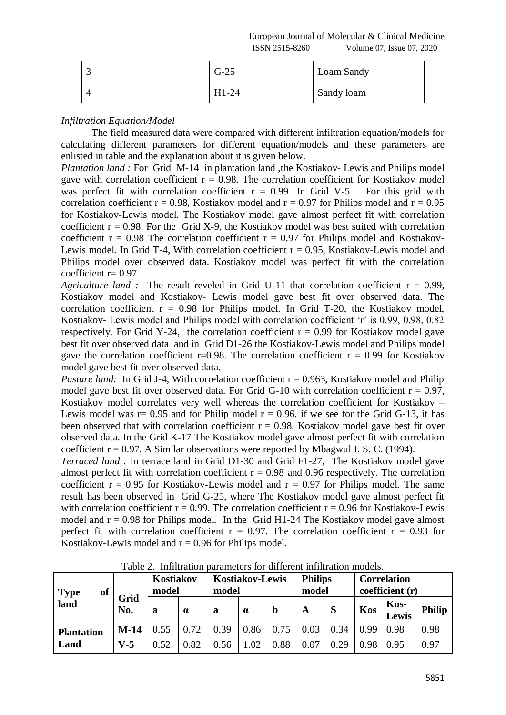|  | $G-25$  | Loam Sandy |
|--|---------|------------|
|  | $H1-24$ | Sandy loam |

# *Infiltration Equation/Model*

The field measured data were compared with different infiltration equation/models for calculating different parameters for different equation/models and these parameters are enlisted in table and the explanation about it is given below.

*Plantation land :* For Grid M-14 in plantation land ,the Kostiakov- Lewis and Philips model gave with correlation coefficient  $r = 0.98$ . The correlation coefficient for Kostiakov model was perfect fit with correlation coefficient  $r = 0.99$ . In Grid V-5 For this grid with correlation coefficient  $r = 0.98$ , Kostiakov model and  $r = 0.97$  for Philips model and  $r = 0.95$ for Kostiakov-Lewis model. The Kostiakov model gave almost perfect fit with correlation coefficient  $r = 0.98$ . For the Grid X-9, the Kostiakov model was best suited with correlation coefficient  $r = 0.98$  The correlation coefficient  $r = 0.97$  for Philips model and Kostiakov-Lewis model. In Grid T-4, With correlation coefficient  $r = 0.95$ , Kostiakov-Lewis model and Philips model over observed data. Kostiakov model was perfect fit with the correlation coefficient r= 0.97.

*Agriculture land :* The result reveled in Grid U-11 that correlation coefficient  $r = 0.99$ , Kostiakov model and Kostiakov- Lewis model gave best fit over observed data. The correlation coefficient  $r = 0.98$  for Philips model. In Grid T-20, the Kostiakov model, Kostiakov- Lewis model and Philips model with correlation coefficient 'r' is 0.99, 0.98, 0.82 respectively. For Grid Y-24, the correlation coefficient  $r = 0.99$  for Kostiakov model gave best fit over observed data and in Grid D1-26 the Kostiakov-Lewis model and Philips model gave the correlation coefficient r=0.98. The correlation coefficient  $r = 0.99$  for Kostiakov model gave best fit over observed data.

*Pasture land:* In Grid J-4, With correlation coefficient  $r = 0.963$ , Kostiakov model and Philip model gave best fit over observed data. For Grid G-10 with correlation coefficient  $r = 0.97$ , Kostiakov model correlates very well whereas the correlation coefficient for Kostiakov – Lewis model was  $r = 0.95$  and for Philip model  $r = 0.96$ . if we see for the Grid G-13, it has been observed that with correlation coefficient  $r = 0.98$ , Kostiakov model gave best fit over observed data. In the Grid K-17 The Kostiakov model gave almost perfect fit with correlation coefficient  $r = 0.97$ . A Similar observations were reported by Mbagwul J. S. C. (1994).

*Terraced land :* In terrace land in Grid D1-30 and Grid F1-27, The Kostiakov model gave almost perfect fit with correlation coefficient  $r = 0.98$  and 0.96 respectively. The correlation coefficient  $r = 0.95$  for Kostiakov-Lewis model and  $r = 0.97$  for Philips model. The same result has been observed in Grid G-25, where The Kostiakov model gave almost perfect fit with correlation coefficient  $r = 0.99$ . The correlation coefficient  $r = 0.96$  for Kostiakov-Lewis model and  $r = 0.98$  for Philips model. In the Grid H1-24 The Kostiakov model gave almost perfect fit with correlation coefficient  $r = 0.97$ . The correlation coefficient  $r = 0.93$  for Kostiakov-Lewis model and  $r = 0.96$  for Philips model.

| of<br><b>Type</b><br>$l$ and | Grid<br>No. | Kostiakov<br>model |          | <b>Kostiakov-Lewis</b><br>model |          |      | <b>Philips</b><br>model |      | <b>Correlation</b><br>coefficient (r) |                      |               |
|------------------------------|-------------|--------------------|----------|---------------------------------|----------|------|-------------------------|------|---------------------------------------|----------------------|---------------|
|                              |             | a                  | $\alpha$ | a                               | $\alpha$ | b    | A                       | S    | Kos                                   | Kos-<br><b>Lewis</b> | <b>Philip</b> |
| <b>Plantation</b>            | $M-14$      | 0.55               | 0.72     | 0.39                            | 0.86     | 0.75 | 0.03                    | 0.34 | 0.99                                  | 0.98                 | 0.98          |
| Land                         | $V-5$       | 0.52               | 0.82     | 0.56                            | 1.02     | 0.88 | 0.07                    | 0.29 | 0.98                                  | 0.95                 | 0.97          |

Table 2. Infiltration parameters for different infiltration models.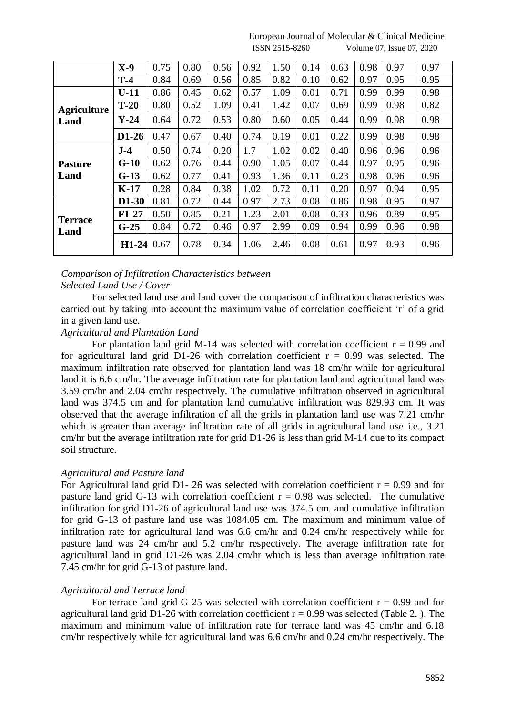|                        | $X-9$   | 0.75 | 0.80 | 0.56 | 0.92 | 1.50 | 0.14 | 0.63 | 0.98 | 0.97 | 0.97 |
|------------------------|---------|------|------|------|------|------|------|------|------|------|------|
|                        | $T-4$   | 0.84 | 0.69 | 0.56 | 0.85 | 0.82 | 0.10 | 0.62 | 0.97 | 0.95 | 0.95 |
|                        | $U-11$  | 0.86 | 0.45 | 0.62 | 0.57 | 1.09 | 0.01 | 0.71 | 0.99 | 0.99 | 0.98 |
| <b>Agriculture</b>     | $T-20$  | 0.80 | 0.52 | 1.09 | 0.41 | 1.42 | 0.07 | 0.69 | 0.99 | 0.98 | 0.82 |
| Land                   | $Y-24$  | 0.64 | 0.72 | 0.53 | 0.80 | 0.60 | 0.05 | 0.44 | 0.99 | 0.98 | 0.98 |
|                        | $D1-26$ | 0.47 | 0.67 | 0.40 | 0.74 | 0.19 | 0.01 | 0.22 | 0.99 | 0.98 | 0.98 |
| <b>Pasture</b><br>Land | $J-4$   | 0.50 | 0.74 | 0.20 | 1.7  | 1.02 | 0.02 | 0.40 | 0.96 | 0.96 | 0.96 |
|                        | $G-10$  | 0.62 | 0.76 | 0.44 | 0.90 | 1.05 | 0.07 | 0.44 | 0.97 | 0.95 | 0.96 |
|                        | $G-13$  | 0.62 | 0.77 | 0.41 | 0.93 | 1.36 | 0.11 | 0.23 | 0.98 | 0.96 | 0.96 |
|                        | $K-17$  | 0.28 | 0.84 | 0.38 | 1.02 | 0.72 | 0.11 | 0.20 | 0.97 | 0.94 | 0.95 |
| <b>Terrace</b><br>Land | D1-30   | 0.81 | 0.72 | 0.44 | 0.97 | 2.73 | 0.08 | 0.86 | 0.98 | 0.95 | 0.97 |
|                        | $F1-27$ | 0.50 | 0.85 | 0.21 | 1.23 | 2.01 | 0.08 | 0.33 | 0.96 | 0.89 | 0.95 |
|                        | $G-25$  | 0.84 | 0.72 | 0.46 | 0.97 | 2.99 | 0.09 | 0.94 | 0.99 | 0.96 | 0.98 |
|                        | $H1-24$ | 0.67 | 0.78 | 0.34 | 1.06 | 2.46 | 0.08 | 0.61 | 0.97 | 0.93 | 0.96 |

#### European Journal of Molecular & Clinical Medicine ISSN 2515-8260 Volume 07, Issue 07, 2020

# *Comparison of Infiltration Characteristics between Selected Land Use / Cover*

For selected land use and land cover the comparison of infiltration characteristics was carried out by taking into account the maximum value of correlation coefficient 'r' of a grid in a given land use.

# *Agricultural and Plantation Land*

For plantation land grid M-14 was selected with correlation coefficient  $r = 0.99$  and for agricultural land grid D1-26 with correlation coefficient  $r = 0.99$  was selected. The maximum infiltration rate observed for plantation land was 18 cm/hr while for agricultural land it is 6.6 cm/hr. The average infiltration rate for plantation land and agricultural land was 3.59 cm/hr and 2.04 cm/hr respectively. The cumulative infiltration observed in agricultural land was 374.5 cm and for plantation land cumulative infiltration was 829.93 cm. It was observed that the average infiltration of all the grids in plantation land use was 7.21 cm/hr which is greater than average infiltration rate of all grids in agricultural land use i.e., 3.21 cm/hr but the average infiltration rate for grid D1-26 is less than grid M-14 due to its compact soil structure.

# *Agricultural and Pasture land*

For Agricultural land grid D1- 26 was selected with correlation coefficient  $r = 0.99$  and for pasture land grid G-13 with correlation coefficient  $r = 0.98$  was selected. The cumulative infiltration for grid D1-26 of agricultural land use was 374.5 cm. and cumulative infiltration for grid G-13 of pasture land use was 1084.05 cm. The maximum and minimum value of infiltration rate for agricultural land was 6.6 cm/hr and 0.24 cm/hr respectively while for pasture land was 24 cm/hr and 5.2 cm/hr respectively. The average infiltration rate for agricultural land in grid D1-26 was 2.04 cm/hr which is less than average infiltration rate 7.45 cm/hr for grid G-13 of pasture land.

# *Agricultural and Terrace land*

For terrace land grid G-25 was selected with correlation coefficient  $r = 0.99$  and for agricultural land grid D1-26 with correlation coefficient  $r = 0.99$  was selected (Table 2.). The maximum and minimum value of infiltration rate for terrace land was 45 cm/hr and 6.18 cm/hr respectively while for agricultural land was 6.6 cm/hr and 0.24 cm/hr respectively. The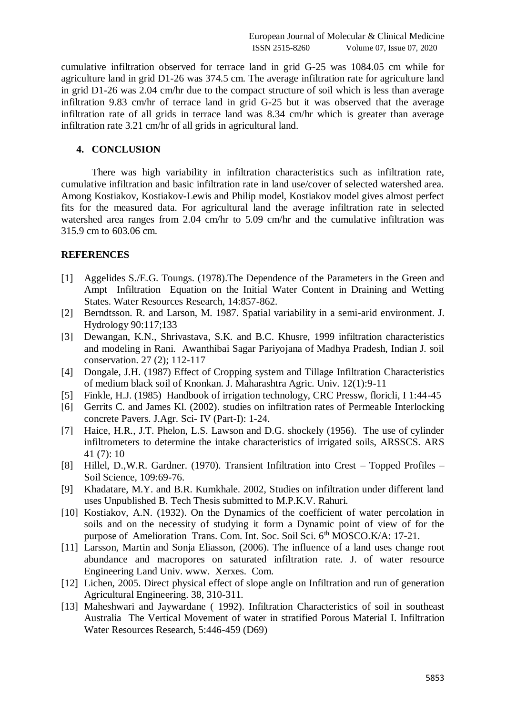cumulative infiltration observed for terrace land in grid G-25 was 1084.05 cm while for agriculture land in grid D1-26 was 374.5 cm. The average infiltration rate for agriculture land in grid D1-26 was 2.04 cm/hr due to the compact structure of soil which is less than average infiltration 9.83 cm/hr of terrace land in grid G-25 but it was observed that the average infiltration rate of all grids in terrace land was 8.34 cm/hr which is greater than average infiltration rate 3.21 cm/hr of all grids in agricultural land.

### **4. CONCLUSION**

There was high variability in infiltration characteristics such as infiltration rate, cumulative infiltration and basic infiltration rate in land use/cover of selected watershed area. Among Kostiakov, Kostiakov-Lewis and Philip model, Kostiakov model gives almost perfect fits for the measured data. For agricultural land the average infiltration rate in selected watershed area ranges from 2.04 cm/hr to 5.09 cm/hr and the cumulative infiltration was 315.9 cm to 603.06 cm.

#### **REFERENCES**

- [1] Aggelides S./E.G. Toungs. (1978).The Dependence of the Parameters in the Green and Ampt Infiltration Equation on the Initial Water Content in Draining and Wetting States. Water Resources Research, 14:857-862.
- [2] Berndtsson. R. and Larson, M. 1987. Spatial variability in a semi-arid environment. J. Hydrology 90:117;133
- [3] Dewangan, K.N., Shrivastava, S.K. and B.C. Khusre, 1999 infiltration characteristics and modeling in Rani. Awanthibai Sagar Pariyojana of Madhya Pradesh, Indian J. soil conservation. 27 (2); 112-117
- [4] Dongale, J.H. (1987) Effect of Cropping system and Tillage Infiltration Characteristics of medium black soil of Knonkan. J. Maharashtra Agric. Univ. 12(1):9-11
- [5] Finkle, H.J. (1985) Handbook of irrigation technology, CRC Pressw, floricli, I 1:44-45
- [6] Gerrits C. and James Kl. (2002). studies on infiltration rates of Permeable Interlocking concrete Pavers. J.Agr. Sci- IV (Part-I): 1-24.
- [7] Haice, H.R., J.T. Phelon, L.S. Lawson and D.G. shockely (1956). The use of cylinder infiltrometers to determine the intake characteristics of irrigated soils, ARSSCS. ARS 41 (7): 10
- [8] Hillel, D.,W.R. Gardner. (1970). Transient Infiltration into Crest Topped Profiles Soil Science, 109:69-76.
- [9] Khadatare, M.Y. and B.R. Kumkhale. 2002, Studies on infiltration under different land uses Unpublished B. Tech Thesis submitted to M.P.K.V. Rahuri.
- [10] Kostiakov, A.N. (1932). On the Dynamics of the coefficient of water percolation in soils and on the necessity of studying it form a Dynamic point of view of for the purpose of Amelioration Trans. Com. Int. Soc. Soil Sci. 6<sup>th</sup> MOSCO.K/A: 17-21.
- [11] Larsson, Martin and Sonja Eliasson, (2006). The influence of a land uses change root abundance and macropores on saturated infiltration rate. J. of water resource Engineering Land Univ. www. Xerxes. Com.
- [12] Lichen, 2005. Direct physical effect of slope angle on Infiltration and run of generation Agricultural Engineering. 38, 310-311.
- [13] Maheshwari and Jaywardane (1992). Infiltration Characteristics of soil in southeast Australia The Vertical Movement of water in stratified Porous Material I. Infiltration Water Resources Research, 5:446-459 (D69)